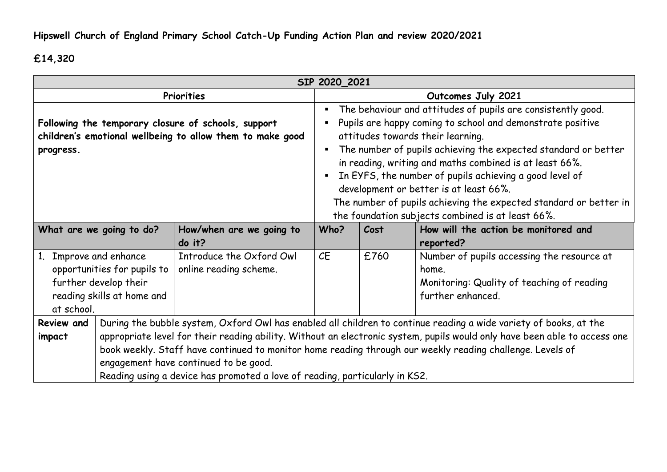## **£14,320**

| SIP 2020_2021                                                                                                                          |                                                                                                                           |                                                                             |                                                                                |                                                                                                           |                                                                   |  |  |  |
|----------------------------------------------------------------------------------------------------------------------------------------|---------------------------------------------------------------------------------------------------------------------------|-----------------------------------------------------------------------------|--------------------------------------------------------------------------------|-----------------------------------------------------------------------------------------------------------|-------------------------------------------------------------------|--|--|--|
| Priorities                                                                                                                             |                                                                                                                           |                                                                             |                                                                                | Outcomes July 2021                                                                                        |                                                                   |  |  |  |
|                                                                                                                                        |                                                                                                                           |                                                                             | The behaviour and attitudes of pupils are consistently good.<br>$\blacksquare$ |                                                                                                           |                                                                   |  |  |  |
|                                                                                                                                        |                                                                                                                           | Following the temporary closure of schools, support                         | Pupils are happy coming to school and demonstrate positive                     |                                                                                                           |                                                                   |  |  |  |
|                                                                                                                                        |                                                                                                                           | children's emotional wellbeing to allow them to make good                   |                                                                                |                                                                                                           | attitudes towards their learning.                                 |  |  |  |
| progress.                                                                                                                              |                                                                                                                           |                                                                             |                                                                                |                                                                                                           | The number of pupils achieving the expected standard or better    |  |  |  |
|                                                                                                                                        |                                                                                                                           |                                                                             | in reading, writing and maths combined is at least 66%.                        |                                                                                                           |                                                                   |  |  |  |
|                                                                                                                                        |                                                                                                                           |                                                                             | In EYFS, the number of pupils achieving a good level of<br>$\blacksquare$      |                                                                                                           |                                                                   |  |  |  |
|                                                                                                                                        |                                                                                                                           |                                                                             |                                                                                |                                                                                                           | development or better is at least 66%.                            |  |  |  |
|                                                                                                                                        |                                                                                                                           |                                                                             |                                                                                |                                                                                                           | The number of pupils achieving the expected standard or better in |  |  |  |
|                                                                                                                                        |                                                                                                                           |                                                                             |                                                                                |                                                                                                           | the foundation subjects combined is at least 66%.                 |  |  |  |
| What are we going to do?                                                                                                               |                                                                                                                           | How/when are we going to                                                    | Who?                                                                           | Cost                                                                                                      | How will the action be monitored and                              |  |  |  |
|                                                                                                                                        |                                                                                                                           | do it?                                                                      |                                                                                |                                                                                                           | reported?                                                         |  |  |  |
| Improve and enhance<br>1 <sub>1</sub>                                                                                                  |                                                                                                                           | Introduce the Oxford Owl                                                    | CE                                                                             | £760                                                                                                      | Number of pupils accessing the resource at                        |  |  |  |
| opportunities for pupils to                                                                                                            |                                                                                                                           | online reading scheme.                                                      |                                                                                |                                                                                                           | home.                                                             |  |  |  |
| further develop their                                                                                                                  |                                                                                                                           |                                                                             |                                                                                |                                                                                                           | Monitoring: Quality of teaching of reading                        |  |  |  |
| reading skills at home and                                                                                                             |                                                                                                                           |                                                                             |                                                                                |                                                                                                           | further enhanced.                                                 |  |  |  |
| at school.                                                                                                                             |                                                                                                                           |                                                                             |                                                                                |                                                                                                           |                                                                   |  |  |  |
| During the bubble system, Oxford Owl has enabled all children to continue reading a wide variety of books, at the<br><b>Review and</b> |                                                                                                                           |                                                                             |                                                                                |                                                                                                           |                                                                   |  |  |  |
| impact                                                                                                                                 | appropriate level for their reading ability. Without an electronic system, pupils would only have been able to access one |                                                                             |                                                                                |                                                                                                           |                                                                   |  |  |  |
|                                                                                                                                        |                                                                                                                           |                                                                             |                                                                                | book weekly. Staff have continued to monitor home reading through our weekly reading challenge. Levels of |                                                                   |  |  |  |
|                                                                                                                                        |                                                                                                                           | engagement have continued to be good.                                       |                                                                                |                                                                                                           |                                                                   |  |  |  |
|                                                                                                                                        |                                                                                                                           | Reading using a device has promoted a love of reading, particularly in KS2. |                                                                                |                                                                                                           |                                                                   |  |  |  |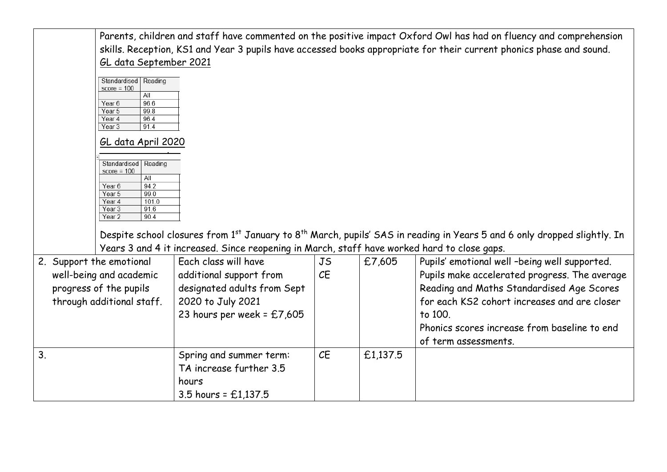|                         |                                                        |                                                                                             |           |          | Parents, children and staff have commented on the positive impact Oxford Owl has had on fluency and comprehension<br>skills. Reception, KS1 and Year 3 pupils have accessed books appropriate for their current phonics phase and sound. |
|-------------------------|--------------------------------------------------------|---------------------------------------------------------------------------------------------|-----------|----------|------------------------------------------------------------------------------------------------------------------------------------------------------------------------------------------------------------------------------------------|
|                         | GL data September 2021                                 |                                                                                             |           |          |                                                                                                                                                                                                                                          |
|                         | Standardised   Reading<br>$score = 100$<br>All<br>96.6 |                                                                                             |           |          |                                                                                                                                                                                                                                          |
|                         | Year <sub>6</sub><br>99.8<br>Year 5                    |                                                                                             |           |          |                                                                                                                                                                                                                                          |
|                         | 96.4<br>Year 4<br>91.4<br>Year <sub>3</sub>            |                                                                                             |           |          |                                                                                                                                                                                                                                          |
|                         |                                                        |                                                                                             |           |          |                                                                                                                                                                                                                                          |
|                         | GL data April 2020                                     |                                                                                             |           |          |                                                                                                                                                                                                                                          |
|                         | Standardised   Reading                                 |                                                                                             |           |          |                                                                                                                                                                                                                                          |
|                         | $score = 100$<br>All                                   |                                                                                             |           |          |                                                                                                                                                                                                                                          |
|                         | 94.2<br>Year <sub>6</sub>                              |                                                                                             |           |          |                                                                                                                                                                                                                                          |
|                         | 99.0<br>Year 5<br>101.0<br>Year 4                      |                                                                                             |           |          |                                                                                                                                                                                                                                          |
|                         | 91.6<br>Year <sub>3</sub><br>Year <sub>2</sub><br>90.4 |                                                                                             |           |          |                                                                                                                                                                                                                                          |
|                         |                                                        |                                                                                             |           |          |                                                                                                                                                                                                                                          |
|                         |                                                        |                                                                                             |           |          | Despite school closures from 1st January to 8 <sup>th</sup> March, pupils' SAS in reading in Years 5 and 6 only dropped slightly. In                                                                                                     |
|                         |                                                        | Years 3 and 4 it increased. Since reopening in March, staff have worked hard to close gaps. |           |          |                                                                                                                                                                                                                                          |
|                         | 2. Support the emotional                               | Each class will have                                                                        | <b>JS</b> | £7,605   | Pupils' emotional well -being well supported.                                                                                                                                                                                            |
| well-being and academic |                                                        | additional support from                                                                     | CE        |          | Pupils make accelerated progress. The average                                                                                                                                                                                            |
| progress of the pupils  |                                                        | designated adults from Sept                                                                 |           |          | Reading and Maths Standardised Age Scores                                                                                                                                                                                                |
|                         | through additional staff.                              | 2020 to July 2021                                                                           |           |          | for each KS2 cohort increases and are closer                                                                                                                                                                                             |
|                         |                                                        | 23 hours per week = $£7,605$                                                                |           |          | to 100.                                                                                                                                                                                                                                  |
|                         |                                                        |                                                                                             |           |          | Phonics scores increase from baseline to end                                                                                                                                                                                             |
|                         |                                                        |                                                                                             |           |          | of term assessments.                                                                                                                                                                                                                     |
| 3.                      |                                                        | Spring and summer term:                                                                     | CE        | £1,137.5 |                                                                                                                                                                                                                                          |
|                         |                                                        | TA increase further 3.5                                                                     |           |          |                                                                                                                                                                                                                                          |
|                         |                                                        | hours                                                                                       |           |          |                                                                                                                                                                                                                                          |
|                         |                                                        | 3.5 hours = $£1,137.5$                                                                      |           |          |                                                                                                                                                                                                                                          |
|                         |                                                        |                                                                                             |           |          |                                                                                                                                                                                                                                          |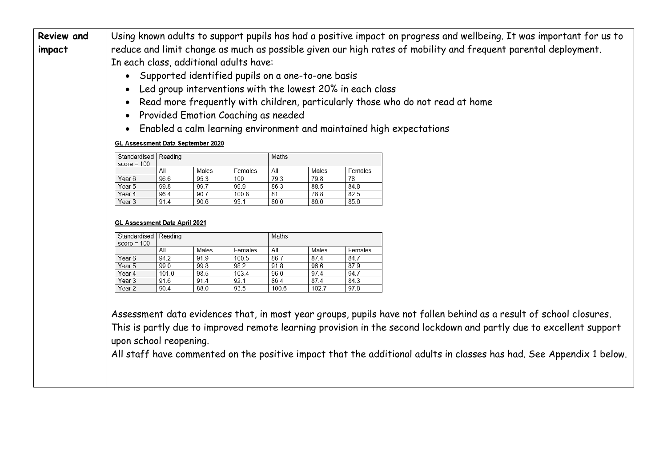|  |                                                                                                                               |                                     |              |               |               |               | Using known adults to support pupils has had a positive impact on progress and wellbeing. It was important for us to |  |  |  |  |
|--|-------------------------------------------------------------------------------------------------------------------------------|-------------------------------------|--------------|---------------|---------------|---------------|----------------------------------------------------------------------------------------------------------------------|--|--|--|--|
|  | reduce and limit change as much as possible given our high rates of mobility and frequent parental deployment.<br>impact      |                                     |              |               |               |               |                                                                                                                      |  |  |  |  |
|  | In each class, additional adults have:                                                                                        |                                     |              |               |               |               |                                                                                                                      |  |  |  |  |
|  |                                                                                                                               |                                     |              |               |               |               |                                                                                                                      |  |  |  |  |
|  | • Supported identified pupils on a one-to-one basis                                                                           |                                     |              |               |               |               |                                                                                                                      |  |  |  |  |
|  | Led group interventions with the lowest 20% in each class                                                                     |                                     |              |               |               |               |                                                                                                                      |  |  |  |  |
|  | Read more frequently with children, particularly those who do not read at home                                                |                                     |              |               |               |               |                                                                                                                      |  |  |  |  |
|  |                                                                                                                               |                                     |              |               |               |               |                                                                                                                      |  |  |  |  |
|  |                                                                                                                               | Provided Emotion Coaching as needed |              |               |               |               |                                                                                                                      |  |  |  |  |
|  | Enabled a calm learning environment and maintained high expectations<br>$\bullet$<br><b>GL Assessment Data September 2020</b> |                                     |              |               |               |               |                                                                                                                      |  |  |  |  |
|  |                                                                                                                               |                                     |              |               |               |               |                                                                                                                      |  |  |  |  |
|  | Standardised   Reading<br>$score = 100$                                                                                       |                                     |              |               | Maths         |               |                                                                                                                      |  |  |  |  |
|  |                                                                                                                               | All                                 | Males        | Females       | All           | Males         | Females                                                                                                              |  |  |  |  |
|  | Year 6                                                                                                                        | 96.6                                | 95.3         | 100           | 79.3          | 79.8          | 78                                                                                                                   |  |  |  |  |
|  | Year 5                                                                                                                        | 99.8                                | 99.7<br>90.7 | 99.9          | 86.3          | 88.5          | 84.8                                                                                                                 |  |  |  |  |
|  |                                                                                                                               |                                     |              | 100.8         | 81            | 78.8          | 82.5                                                                                                                 |  |  |  |  |
|  | Year 4<br>Year 3                                                                                                              | 96.4<br>91.4                        | 90.6         | 93.1          | 86.6          | 86.6          | 85.6                                                                                                                 |  |  |  |  |
|  | <b>GL Assessment Data April 2021</b><br>Standardised   Reading                                                                |                                     |              |               | Maths         |               |                                                                                                                      |  |  |  |  |
|  | $score = 100$                                                                                                                 | All                                 |              |               |               |               |                                                                                                                      |  |  |  |  |
|  | Year 6                                                                                                                        |                                     | Males        | Females       | All           | Males         | Females                                                                                                              |  |  |  |  |
|  | Year 5                                                                                                                        | 94.2<br>99.0                        | 91.9<br>99.8 | 100.5<br>98.2 | 86.7<br>91.8  | 87.4<br>96.6  | 84.7<br>87.9                                                                                                         |  |  |  |  |
|  | Year 4                                                                                                                        | 101.0                               | 98.5         | 103.4         | 96.0          | 97.4          | 94.7                                                                                                                 |  |  |  |  |
|  | Year <sub>3</sub><br>Year <sub>2</sub>                                                                                        | 91.6<br>90.4                        | 91.4<br>88.0 | 92.1<br>93.5  | 86.4<br>100.6 | 87.4<br>102.7 | 84.3<br>97.8                                                                                                         |  |  |  |  |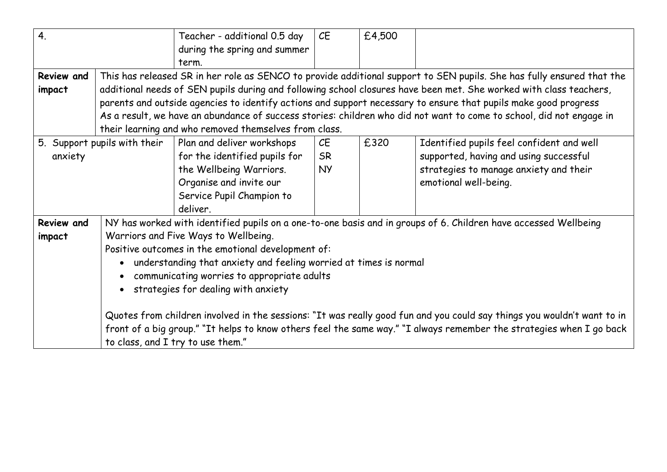| 4.                           |                                                                                                                         | Teacher - additional 0.5 day                                                                                          | CE                                                                                                                   | £4,500 |                                                                                                                      |  |  |  |  |
|------------------------------|-------------------------------------------------------------------------------------------------------------------------|-----------------------------------------------------------------------------------------------------------------------|----------------------------------------------------------------------------------------------------------------------|--------|----------------------------------------------------------------------------------------------------------------------|--|--|--|--|
|                              |                                                                                                                         | during the spring and summer                                                                                          |                                                                                                                      |        |                                                                                                                      |  |  |  |  |
|                              |                                                                                                                         | term.                                                                                                                 |                                                                                                                      |        |                                                                                                                      |  |  |  |  |
| <b>Review and</b>            |                                                                                                                         | This has released SR in her role as SENCO to provide additional support to SEN pupils. She has fully ensured that the |                                                                                                                      |        |                                                                                                                      |  |  |  |  |
| impact                       |                                                                                                                         | additional needs of SEN pupils during and following school closures have been met. She worked with class teachers,    |                                                                                                                      |        |                                                                                                                      |  |  |  |  |
|                              |                                                                                                                         | parents and outside agencies to identify actions and support necessary to ensure that pupils make good progress       |                                                                                                                      |        |                                                                                                                      |  |  |  |  |
|                              |                                                                                                                         |                                                                                                                       |                                                                                                                      |        | As a result, we have an abundance of success stories: children who did not want to come to school, did not engage in |  |  |  |  |
|                              |                                                                                                                         | their learning and who removed themselves from class.                                                                 |                                                                                                                      |        |                                                                                                                      |  |  |  |  |
| 5. Support pupils with their |                                                                                                                         | Plan and deliver workshops                                                                                            | CE                                                                                                                   | £320   | Identified pupils feel confident and well                                                                            |  |  |  |  |
| anxiety                      |                                                                                                                         | for the identified pupils for                                                                                         | <b>SR</b>                                                                                                            |        | supported, having and using successful                                                                               |  |  |  |  |
|                              |                                                                                                                         | the Wellbeing Warriors.                                                                                               | <b>NY</b>                                                                                                            |        | strategies to manage anxiety and their                                                                               |  |  |  |  |
|                              |                                                                                                                         | Organise and invite our                                                                                               |                                                                                                                      |        | emotional well-being.                                                                                                |  |  |  |  |
|                              |                                                                                                                         | Service Pupil Champion to                                                                                             |                                                                                                                      |        |                                                                                                                      |  |  |  |  |
|                              |                                                                                                                         | deliver.                                                                                                              |                                                                                                                      |        |                                                                                                                      |  |  |  |  |
| <b>Review and</b>            |                                                                                                                         | NY has worked with identified pupils on a one-to-one basis and in groups of 6. Children have accessed Wellbeing       |                                                                                                                      |        |                                                                                                                      |  |  |  |  |
| impact                       | Warriors and Five Ways to Wellbeing.                                                                                    |                                                                                                                       |                                                                                                                      |        |                                                                                                                      |  |  |  |  |
|                              | Positive outcomes in the emotional development of:                                                                      |                                                                                                                       |                                                                                                                      |        |                                                                                                                      |  |  |  |  |
|                              | understanding that anxiety and feeling worried at times is normal                                                       |                                                                                                                       |                                                                                                                      |        |                                                                                                                      |  |  |  |  |
|                              | communicating worries to appropriate adults                                                                             |                                                                                                                       |                                                                                                                      |        |                                                                                                                      |  |  |  |  |
|                              | strategies for dealing with anxiety                                                                                     |                                                                                                                       |                                                                                                                      |        |                                                                                                                      |  |  |  |  |
|                              |                                                                                                                         |                                                                                                                       |                                                                                                                      |        |                                                                                                                      |  |  |  |  |
|                              | Quotes from children involved in the sessions: "It was really good fun and you could say things you wouldn't want to in |                                                                                                                       |                                                                                                                      |        |                                                                                                                      |  |  |  |  |
|                              |                                                                                                                         |                                                                                                                       | front of a big group." "It helps to know others feel the same way." "I always remember the strategies when I go back |        |                                                                                                                      |  |  |  |  |
|                              |                                                                                                                         | to class, and I try to use them."                                                                                     |                                                                                                                      |        |                                                                                                                      |  |  |  |  |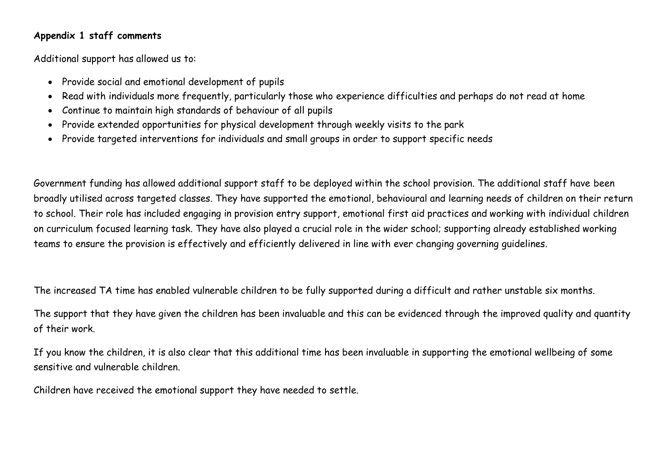## **Appendix 1 staff comments**

Additional support has allowed us to:

- Provide social and emotional development of pupils
- Read with individuals more frequently, particularly those who experience difficulties and perhaps do not read at home
- Continue to maintain high standards of behaviour of all pupils
- Provide extended opportunities for physical development through weekly visits to the park
- Provide targeted interventions for individuals and small groups in order to support specific needs

Government funding has allowed additional support staff to be deployed within the school provision. The additional staff have been broadly utilised across targeted classes. They have supported the emotional, behavioural and learning needs of children on their return to school. Their role has included engaging in provision entry support, emotional first aid practices and working with individual children on curriculum focused learning task. They have also played a crucial role in the wider school; supporting already established working teams to ensure the provision is effectively and efficiently delivered in line with ever changing governing guidelines.

The increased TA time has enabled vulnerable children to be fully supported during a difficult and rather unstable six months.

The support that they have given the children has been invaluable and this can be evidenced through the improved quality and quantity of their work.

If you know the children, it is also clear that this additional time has been invaluable in supporting the emotional wellbeing of some sensitive and vulnerable children.

Children have received the emotional support they have needed to settle.